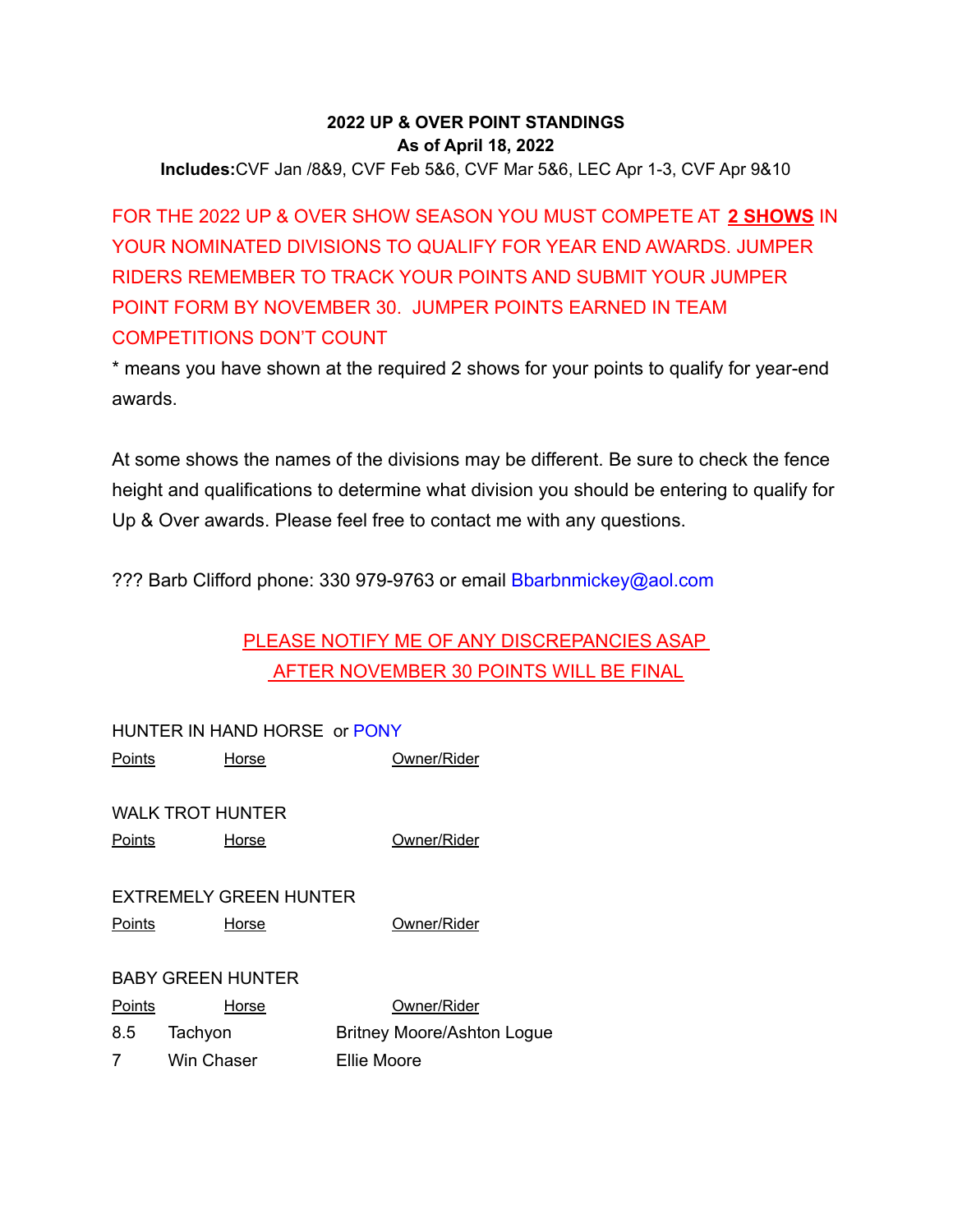# **2022 UP & OVER POINT STANDINGS As of April 18, 2022**

**Includes:**CVF Jan /8&9, CVF Feb 5&6, CVF Mar 5&6, LEC Apr 1-3, CVF Apr 9&10

FOR THE 2022 UP & OVER SHOW SEASON YOU MUST COMPETE AT **2 SHOWS** IN YOUR NOMINATED DIVISIONS TO QUALIFY FOR YEAR END AWARDS. JUMPER RIDERS REMEMBER TO TRACK YOUR POINTS AND SUBMIT YOUR JUMPER POINT FORM BY NOVEMBER 30. JUMPER POINTS EARNED IN TEAM COMPETITIONS DON'T COUNT

\* means you have shown at the required 2 shows for your points to qualify for year-end awards.

At some shows the names of the divisions may be different. Be sure to check the fence height and qualifications to determine what division you should be entering to qualify for Up & Over awards. Please feel free to contact me with any questions.

??? Barb Clifford phone: 330 979-9763 or email Bbarbnmickey@aol.com

# PLEASE NOTIFY ME OF ANY DISCREPANCIES ASAP AFTER NOVEMBER 30 POINTS WILL BE FINAL

|               | HUNTER IN HAND HORSE or PONY |                                   |
|---------------|------------------------------|-----------------------------------|
| <u>Points</u> | Horse                        | Owner/Rider                       |
|               |                              |                                   |
|               | <b>WALK TROT HUNTER</b>      |                                   |
| Points        | Horse                        | Owner/Rider                       |
|               |                              |                                   |
|               | EXTREMELY GREEN HUNTER       |                                   |
| Points        | Horse                        | Owner/Rider                       |
|               |                              |                                   |
|               | <b>BABY GREEN HUNTER</b>     |                                   |
| Points        | Horse                        | Owner/Rider                       |
| 8.5           | Tachyon                      | <b>Britney Moore/Ashton Logue</b> |
| 7             | Win Chaser                   | Ellie Moore                       |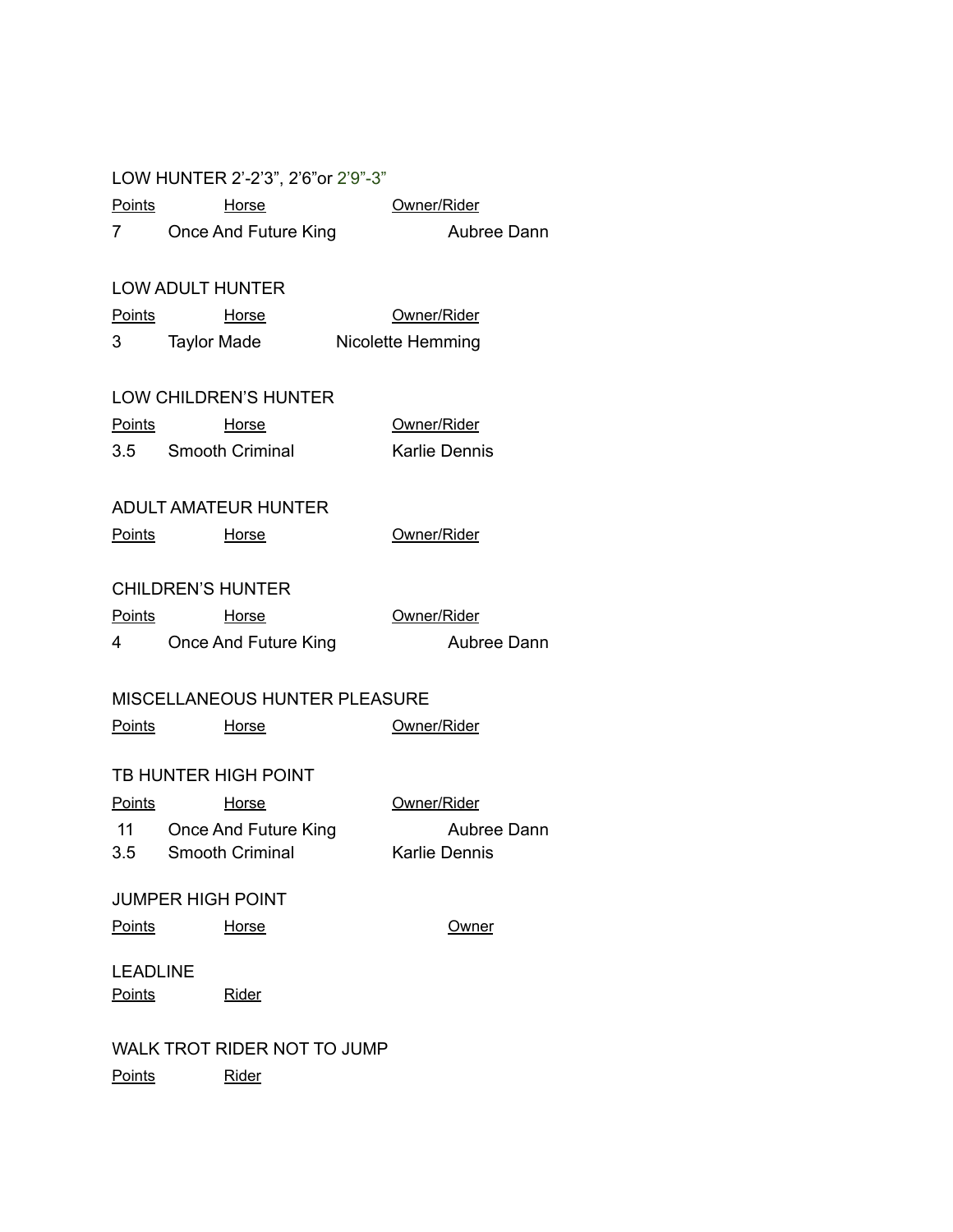|                 | LOW HUNTER 2'-2'3", 2'6" or 2'9"-3" |                          |
|-----------------|-------------------------------------|--------------------------|
| Points          | <b>Horse</b>                        | Owner/Rider              |
|                 | 7 Once And Future King              | Aubree Dann              |
|                 | <b>LOW ADULT HUNTER</b>             |                          |
|                 | <u>Points</u><br><b>Horse</b>       | Owner/Rider              |
|                 | 3 Taylor Made                       | <b>Nicolette Hemming</b> |
|                 | <b>LOW CHILDREN'S HUNTER</b>        |                          |
|                 | <u>Points</u><br><b>Horse</b>       | Owner/Rider              |
|                 | 3.5 Smooth Criminal                 | <b>Karlie Dennis</b>     |
|                 | <b>ADULT AMATEUR HUNTER</b>         |                          |
| <u>Points</u>   | Horse                               | Owner/Rider              |
|                 | <b>CHILDREN'S HUNTER</b>            |                          |
| <u>Points</u>   | <b>Horse</b>                        | Owner/Rider              |
|                 | 4 Once And Future King              | Aubree Dann              |
|                 | MISCELLANEOUS HUNTER PLEASURE       |                          |
|                 | <u>Points</u><br><b>Horse</b>       | Owner/Rider              |
|                 | TB HUNTER HIGH POINT                |                          |
| <u>Points</u>   | <b>Horse</b>                        | Owner/Rider              |
|                 | 11 Once And Future King             | Aubree Dann              |
| 3.5             | Smooth Criminal                     | <b>Karlie Dennis</b>     |
|                 | JUMPER HIGH POINT                   |                          |
| <b>Points</b>   | Horse                               | Owner                    |
| <b>LEADLINE</b> |                                     |                          |
| <b>Points</b>   | <u>Rider</u>                        |                          |
|                 | WALK TROT RIDER NOT TO JUMP         |                          |
| <b>Points</b>   | Rider                               |                          |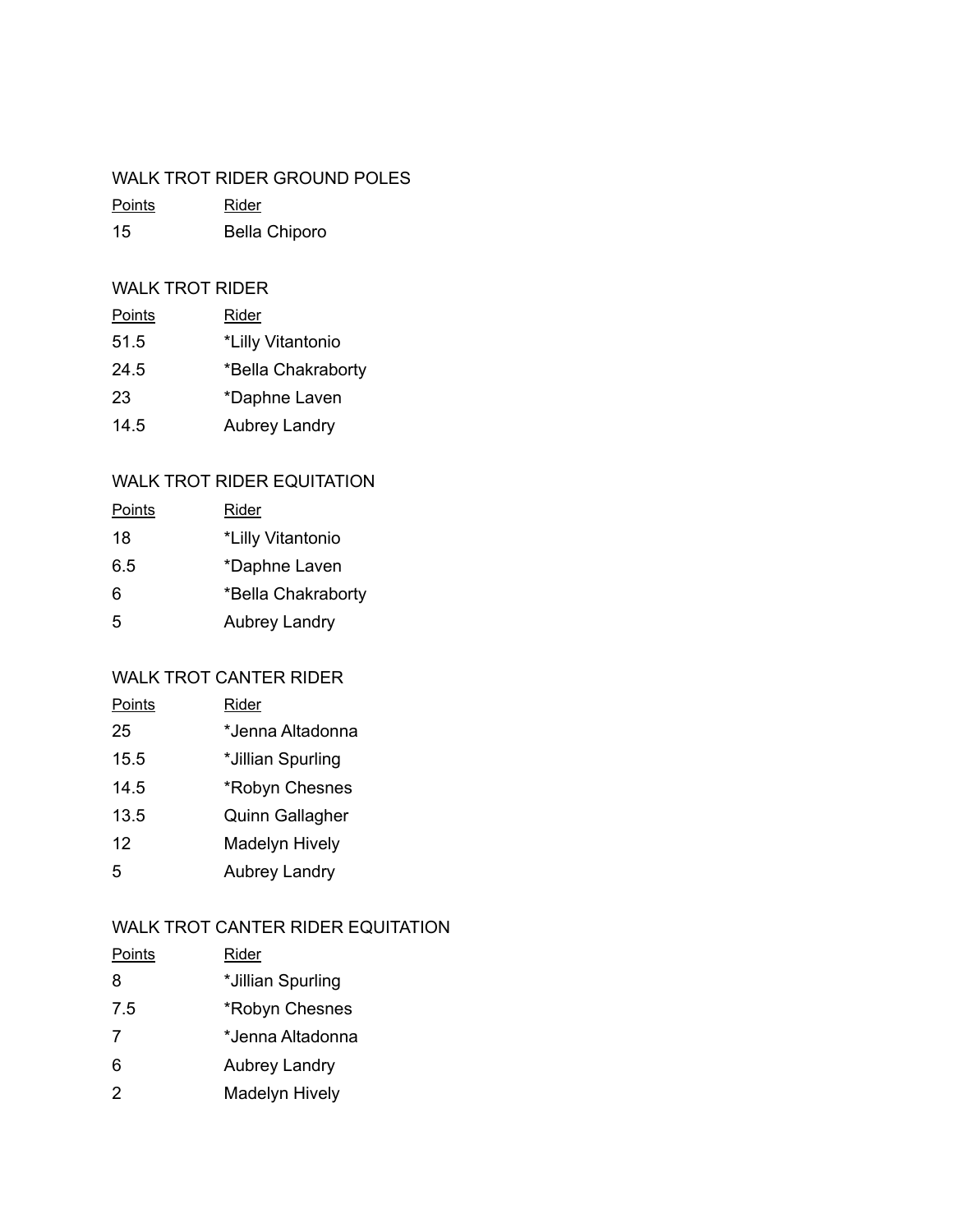#### WALK TROT RIDER GROUND POLES

| <b>Points</b> | Rider                |
|---------------|----------------------|
| 15            | <b>Bella Chiporo</b> |

## WALK TROT RIDER

| Points | <u>Rider</u>         |
|--------|----------------------|
| 51.5   | *Lilly Vitantonio    |
| 24.5   | *Bella Chakraborty   |
| 23     | *Daphne Laven        |
| 14.5   | <b>Aubrey Landry</b> |

# WALK TROT RIDER EQUITATION

| <u>Points</u> | Rider                |
|---------------|----------------------|
| 18            | *Lilly Vitantonio    |
| 6.5           | *Daphne Laven        |
| 6             | *Bella Chakraborty   |
| 5             | <b>Aubrey Landry</b> |

# WALK TROT CANTER RIDER

| Points | Rider                  |
|--------|------------------------|
| 25     | *Jenna Altadonna       |
| 15.5   | *Jillian Spurling      |
| 14.5   | *Robyn Chesnes         |
| 13.5   | <b>Quinn Gallagher</b> |
| 12     | <b>Madelyn Hively</b>  |
| 5      | <b>Aubrey Landry</b>   |
|        |                        |

# WALK TROT CANTER RIDER EQUITATION

| Points | Rider                 |
|--------|-----------------------|
| 8      | *Jillian Spurling     |
| 7.5    | *Robyn Chesnes        |
| 7      | *Jenna Altadonna      |
| 6      | <b>Aubrey Landry</b>  |
| 2      | <b>Madelyn Hively</b> |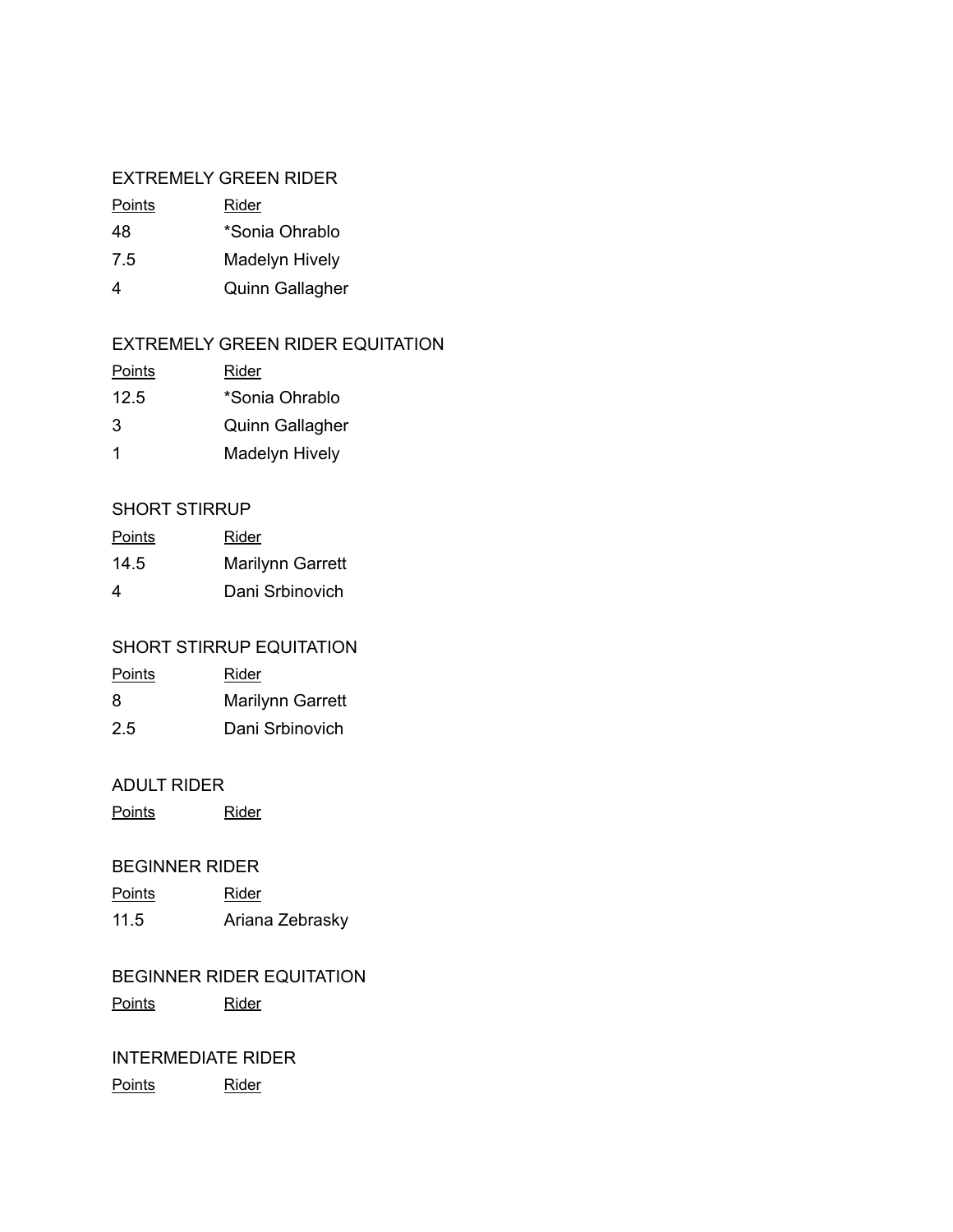#### EXTREMELY GREEN RIDER

| Points | Rider          |
|--------|----------------|
| 48     | *Sonia Ohrablo |

- 7.5 Madelyn Hively
- 4 Quinn Gallagher

## EXTREMELY GREEN RIDER EQUITATION

| <b>Points</b> | Rider                  |
|---------------|------------------------|
| 12.5          | *Sonia Ohrablo         |
| 3             | <b>Quinn Gallagher</b> |
| 1             | Madelyn Hively         |

## SHORT STIRRUP

| <b>Points</b> | Rider                   |
|---------------|-------------------------|
| 14.5          | <b>Marilynn Garrett</b> |
| 4             | Dani Srbinovich         |

## SHORT STIRRUP EQUITATION

| <b>Points</b> | Rider                   |
|---------------|-------------------------|
| 8             | <b>Marilynn Garrett</b> |
| 2.5           | Dani Srbinovich         |

#### ADULT RIDER

Points Rider

#### BEGINNER RIDER

Points Rider 11.5 Ariana Zebrasky

# BEGINNER RIDER EQUITATION

Points Rider

### INTERMEDIATE RIDER

Points Rider